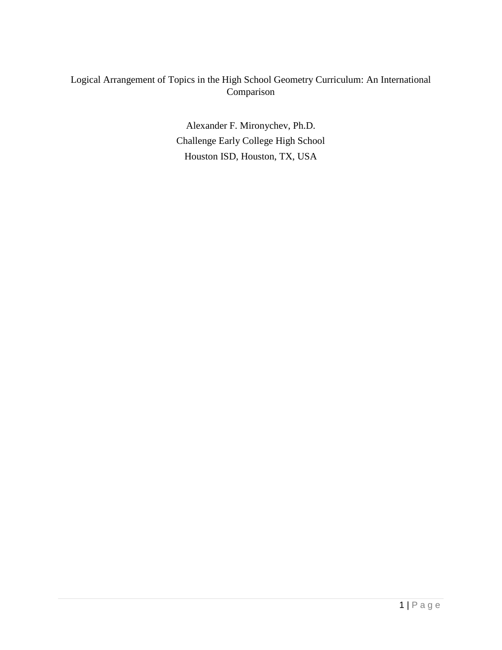## Logical Arrangement of Topics in the High School Geometry Curriculum: An International Comparison

Alexander F. Mironychev, Ph.D. Challenge Early College High School Houston ISD, Houston, TX, USA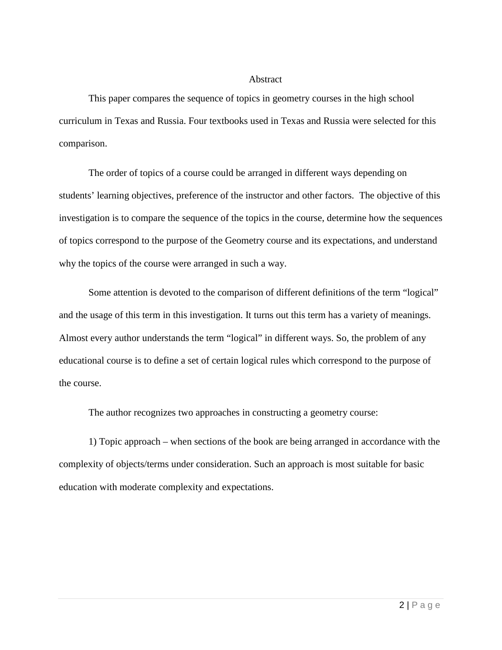#### Abstract

This paper compares the sequence of topics in geometry courses in the high school curriculum in Texas and Russia. Four textbooks used in Texas and Russia were selected for this comparison.

The order of topics of a course could be arranged in different ways depending on students' learning objectives, preference of the instructor and other factors. The objective of this investigation is to compare the sequence of the topics in the course, determine how the sequences of topics correspond to the purpose of the Geometry course and its expectations, and understand why the topics of the course were arranged in such a way.

Some attention is devoted to the comparison of different definitions of the term "logical" and the usage of this term in this investigation. It turns out this term has a variety of meanings. Almost every author understands the term "logical" in different ways. So, the problem of any educational course is to define a set of certain logical rules which correspond to the purpose of the course.

The author recognizes two approaches in constructing a geometry course:

1) Topic approach – when sections of the book are being arranged in accordance with the complexity of objects/terms under consideration. Such an approach is most suitable for basic education with moderate complexity and expectations.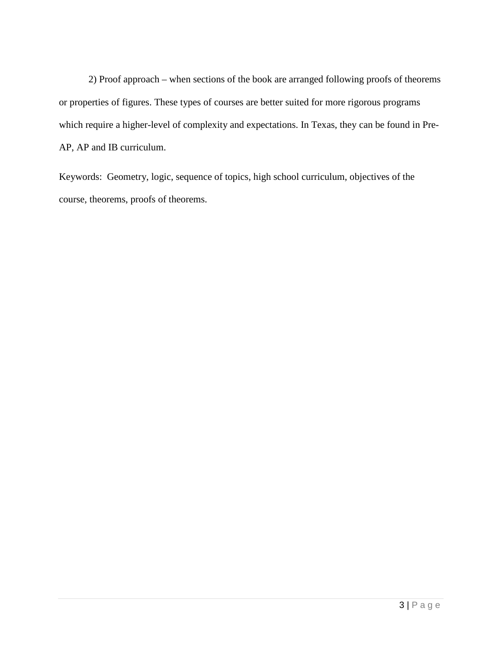2) Proof approach – when sections of the book are arranged following proofs of theorems or properties of figures. These types of courses are better suited for more rigorous programs which require a higher-level of complexity and expectations. In Texas, they can be found in Pre-AP, AP and IB curriculum.

Keywords: Geometry, logic, sequence of topics, high school curriculum, objectives of the course, theorems, proofs of theorems.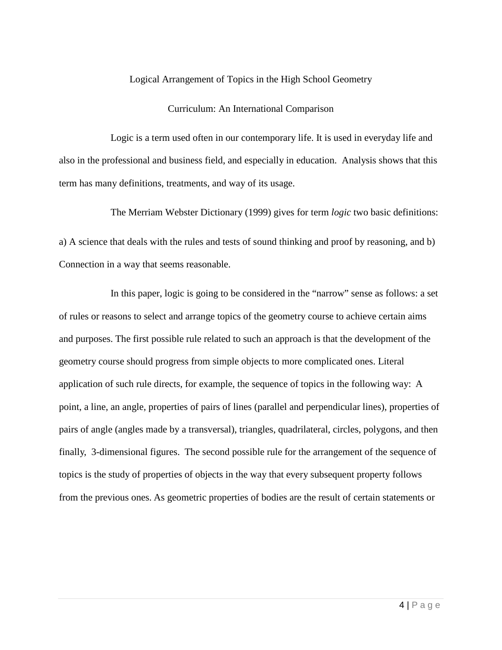### Logical Arrangement of Topics in the High School Geometry

### Curriculum: An International Comparison

Logic is a term used often in our contemporary life. It is used in everyday life and also in the professional and business field, and especially in education. Analysis shows that this term has many definitions, treatments, and way of its usage.

The Merriam Webster Dictionary (1999) gives for term *logic* two basic definitions:

a) A science that deals with the rules and tests of sound thinking and proof by reasoning, and b) Connection in a way that seems reasonable.

In this paper, logic is going to be considered in the "narrow" sense as follows: a set of rules or reasons to select and arrange topics of the geometry course to achieve certain aims and purposes. The first possible rule related to such an approach is that the development of the geometry course should progress from simple objects to more complicated ones. Literal application of such rule directs, for example, the sequence of topics in the following way: A point, a line, an angle, properties of pairs of lines (parallel and perpendicular lines), properties of pairs of angle (angles made by a transversal), triangles, quadrilateral, circles, polygons, and then finally, 3-dimensional figures. The second possible rule for the arrangement of the sequence of topics is the study of properties of objects in the way that every subsequent property follows from the previous ones. As geometric properties of bodies are the result of certain statements or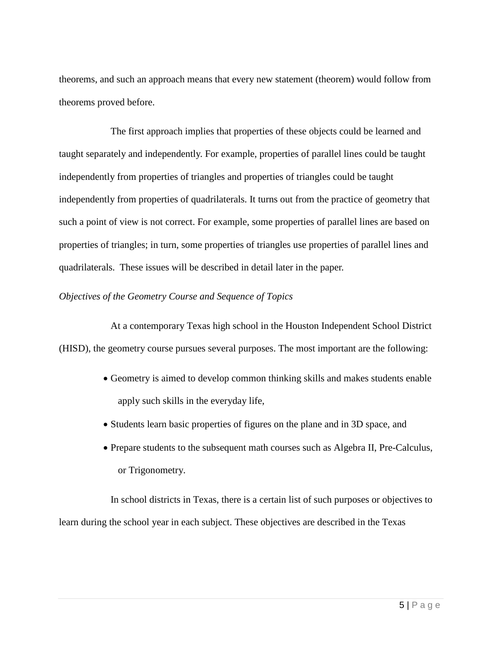theorems, and such an approach means that every new statement (theorem) would follow from theorems proved before.

The first approach implies that properties of these objects could be learned and taught separately and independently. For example, properties of parallel lines could be taught independently from properties of triangles and properties of triangles could be taught independently from properties of quadrilaterals. It turns out from the practice of geometry that such a point of view is not correct. For example, some properties of parallel lines are based on properties of triangles; in turn, some properties of triangles use properties of parallel lines and quadrilaterals. These issues will be described in detail later in the paper.

### *Objectives of the Geometry Course and Sequence of Topics*

At a contemporary Texas high school in the Houston Independent School District (HISD), the geometry course pursues several purposes. The most important are the following:

- Geometry is aimed to develop common thinking skills and makes students enable apply such skills in the everyday life,
- Students learn basic properties of figures on the plane and in 3D space, and
- Prepare students to the subsequent math courses such as Algebra II, Pre-Calculus, or Trigonometry.

In school districts in Texas, there is a certain list of such purposes or objectives to learn during the school year in each subject. These objectives are described in the Texas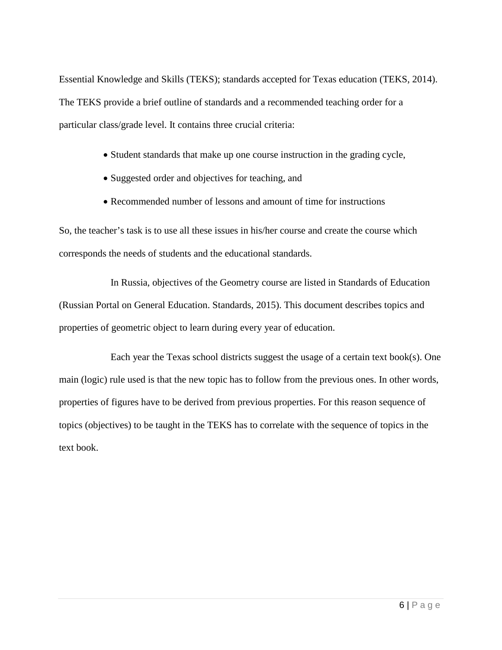Essential Knowledge and Skills (TEKS); standards accepted for Texas education (TEKS, 2014). The TEKS provide a brief outline of standards and a recommended teaching order for a particular class/grade level. It contains three crucial criteria:

- Student standards that make up one course instruction in the grading cycle,
- Suggested order and objectives for teaching, and
- Recommended number of lessons and amount of time for instructions

So, the teacher's task is to use all these issues in his/her course and create the course which corresponds the needs of students and the educational standards.

In Russia, objectives of the Geometry course are listed in Standards of Education (Russian Portal on General Education. Standards, 2015). This document describes topics and properties of geometric object to learn during every year of education.

Each year the Texas school districts suggest the usage of a certain text book(s). One main (logic) rule used is that the new topic has to follow from the previous ones. In other words, properties of figures have to be derived from previous properties. For this reason sequence of topics (objectives) to be taught in the TEKS has to correlate with the sequence of topics in the text book.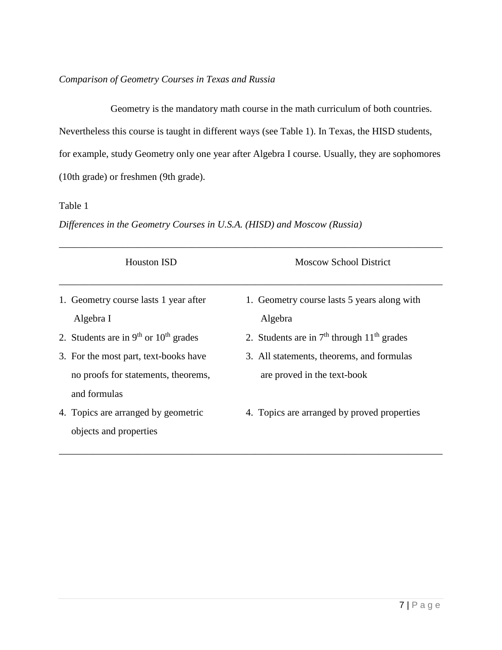## *Comparison of Geometry Courses in Texas and Russia*

Geometry is the mandatory math course in the math curriculum of both countries. Nevertheless this course is taught in different ways (see Table 1). In Texas, the HISD students, for example, study Geometry only one year after Algebra I course. Usually, they are sophomores (10th grade) or freshmen (9th grade).

### Table 1

*Differences in the Geometry Courses in U.S.A. (HISD) and Moscow (Russia)*

| <b>Houston ISD</b>                                                                           | <b>Moscow School District</b>                                            |
|----------------------------------------------------------------------------------------------|--------------------------------------------------------------------------|
| 1. Geometry course lasts 1 year after<br>Algebra I                                           | 1. Geometry course lasts 5 years along with<br>Algebra                   |
| 2. Students are in $9th$ or $10th$ grades                                                    | 2. Students are in $7th$ through $11th$ grades                           |
| 3. For the most part, text-books have<br>no proofs for statements, theorems,<br>and formulas | 3. All statements, theorems, and formulas<br>are proved in the text-book |
| 4. Topics are arranged by geometric<br>objects and properties                                | 4. Topics are arranged by proved properties                              |

\_\_\_\_\_\_\_\_\_\_\_\_\_\_\_\_\_\_\_\_\_\_\_\_\_\_\_\_\_\_\_\_\_\_\_\_\_\_\_\_\_\_\_\_\_\_\_\_\_\_\_\_\_\_\_\_\_\_\_\_\_\_\_\_\_\_\_\_\_\_\_\_\_\_\_\_\_\_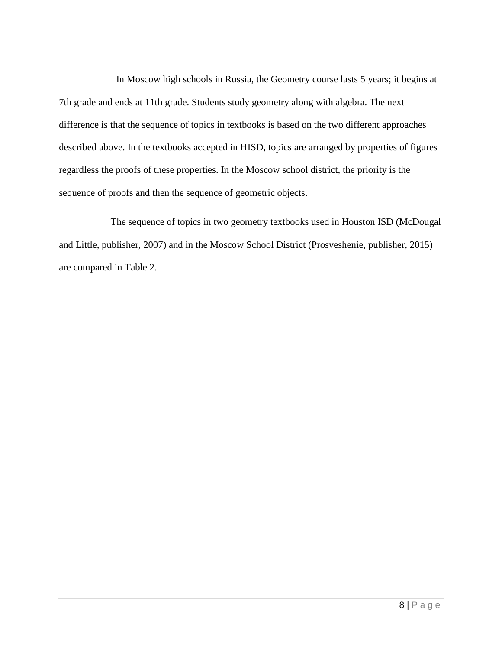In Moscow high schools in Russia, the Geometry course lasts 5 years; it begins at 7th grade and ends at 11th grade. Students study geometry along with algebra. The next difference is that the sequence of topics in textbooks is based on the two different approaches described above. In the textbooks accepted in HISD, topics are arranged by properties of figures regardless the proofs of these properties. In the Moscow school district, the priority is the sequence of proofs and then the sequence of geometric objects.

The sequence of topics in two geometry textbooks used in Houston ISD (McDougal and Little, publisher, 2007) and in the Moscow School District (Prosveshenie, publisher, 2015) are compared in Table 2.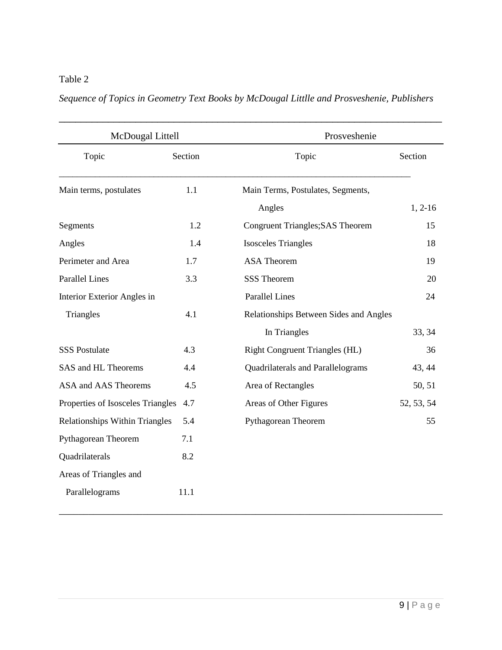# Table 2

# *Sequence of Topics in Geometry Text Books by McDougal Littlle and Prosveshenie, Publishers*

| McDougal Littell                      |         | Prosveshenie                            |            |
|---------------------------------------|---------|-----------------------------------------|------------|
| Topic                                 | Section | Topic                                   | Section    |
| Main terms, postulates                | 1.1     | Main Terms, Postulates, Segments,       |            |
|                                       |         | Angles                                  | $1, 2-16$  |
| Segments                              | 1.2     | <b>Congruent Triangles; SAS Theorem</b> | 15         |
| Angles                                | 1.4     | <b>Isosceles Triangles</b>              | 18         |
| Perimeter and Area                    | 1.7     | <b>ASA Theorem</b>                      | 19         |
| <b>Parallel Lines</b>                 | 3.3     | <b>SSS Theorem</b>                      | 20         |
| Interior Exterior Angles in           |         | <b>Parallel Lines</b>                   | 24         |
| Triangles                             | 4.1     | Relationships Between Sides and Angles  |            |
|                                       |         | In Triangles                            | 33, 34     |
| <b>SSS Postulate</b>                  | 4.3     | <b>Right Congruent Triangles (HL)</b>   | 36         |
| SAS and HL Theorems                   | 4.4     | Quadrilaterals and Parallelograms       | 43, 44     |
| ASA and AAS Theorems                  | 4.5     | Area of Rectangles                      | 50, 51     |
| Properties of Isosceles Triangles     | 4.7     | Areas of Other Figures                  | 52, 53, 54 |
| <b>Relationships Within Triangles</b> | 5.4     | Pythagorean Theorem                     | 55         |
| Pythagorean Theorem                   | 7.1     |                                         |            |
| Quadrilaterals                        | 8.2     |                                         |            |
| Areas of Triangles and                |         |                                         |            |
| Parallelograms                        | 11.1    |                                         |            |

\_\_\_\_\_\_\_\_\_\_\_\_\_\_\_\_\_\_\_\_\_\_\_\_\_\_\_\_\_\_\_\_\_\_\_\_\_\_\_\_\_\_\_\_\_\_\_\_\_\_\_\_\_\_\_\_\_\_\_\_\_\_\_\_\_\_\_\_\_\_\_\_\_\_\_\_\_\_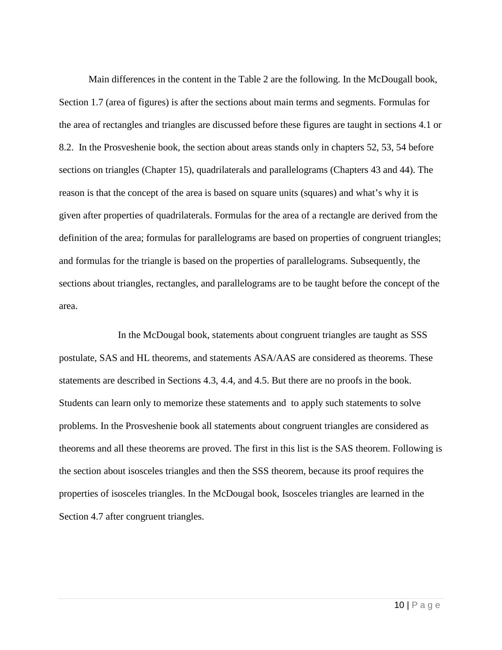Main differences in the content in the Table 2 are the following. In the McDougall book, Section 1.7 (area of figures) is after the sections about main terms and segments. Formulas for the area of rectangles and triangles are discussed before these figures are taught in sections 4.1 or 8.2. In the Prosveshenie book, the section about areas stands only in chapters 52, 53, 54 before sections on triangles (Chapter 15), quadrilaterals and parallelograms (Chapters 43 and 44). The reason is that the concept of the area is based on square units (squares) and what's why it is given after properties of quadrilaterals. Formulas for the area of a rectangle are derived from the definition of the area; formulas for parallelograms are based on properties of congruent triangles; and formulas for the triangle is based on the properties of parallelograms. Subsequently, the sections about triangles, rectangles, and parallelograms are to be taught before the concept of the area.

In the McDougal book, statements about congruent triangles are taught as SSS postulate, SAS and HL theorems, and statements ASA/AAS are considered as theorems. These statements are described in Sections 4.3, 4.4, and 4.5. But there are no proofs in the book. Students can learn only to memorize these statements and to apply such statements to solve problems. In the Prosveshenie book all statements about congruent triangles are considered as theorems and all these theorems are proved. The first in this list is the SAS theorem. Following is the section about isosceles triangles and then the SSS theorem, because its proof requires the properties of isosceles triangles. In the McDougal book, Isosceles triangles are learned in the Section 4.7 after congruent triangles.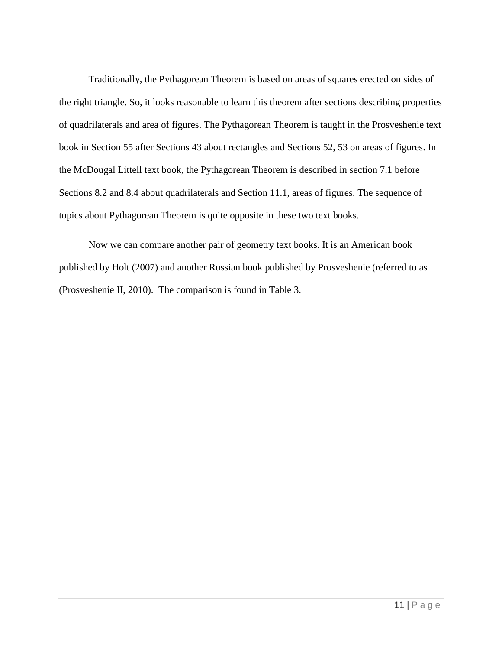Traditionally, the Pythagorean Theorem is based on areas of squares erected on sides of the right triangle. So, it looks reasonable to learn this theorem after sections describing properties of quadrilaterals and area of figures. The Pythagorean Theorem is taught in the Prosveshenie text book in Section 55 after Sections 43 about rectangles and Sections 52, 53 on areas of figures. In the McDougal Littell text book, the Pythagorean Theorem is described in section 7.1 before Sections 8.2 and 8.4 about quadrilaterals and Section 11.1, areas of figures. The sequence of topics about Pythagorean Theorem is quite opposite in these two text books.

Now we can compare another pair of geometry text books. It is an American book published by Holt (2007) and another Russian book published by Prosveshenie (referred to as (Prosveshenie II, 2010). The comparison is found in Table 3.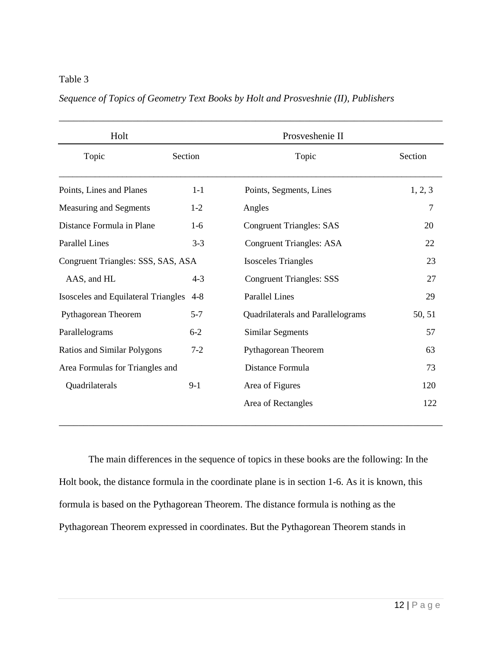### Table 3

## *Sequence of Topics of Geometry Text Books by Holt and Prosveshnie (II), Publishers*

| Holt                                                  |         | Prosveshenie II                   |         |
|-------------------------------------------------------|---------|-----------------------------------|---------|
| Topic                                                 | Section | Topic                             | Section |
| Points, Lines and Planes                              | $1 - 1$ | Points, Segments, Lines           | 1, 2, 3 |
| Measuring and Segments                                | $1 - 2$ | Angles                            | 7       |
| Distance Formula in Plane                             | $1-6$   | <b>Congruent Triangles: SAS</b>   | 20      |
| <b>Parallel Lines</b>                                 | $3-3$   | <b>Congruent Triangles: ASA</b>   | 22      |
| Congruent Triangles: SSS, SAS, ASA                    |         | <b>Isosceles Triangles</b>        | 23      |
| AAS, and HL                                           | $4 - 3$ | <b>Congruent Triangles: SSS</b>   | 27      |
| <b>Isosceles and Equilateral Triangles</b><br>$4 - 8$ |         | <b>Parallel Lines</b>             | 29      |
| Pythagorean Theorem                                   | $5 - 7$ | Quadrilaterals and Parallelograms | 50, 51  |
| Parallelograms                                        | $6 - 2$ | <b>Similar Segments</b>           | 57      |
| <b>Ratios and Similar Polygons</b>                    | $7 - 2$ | Pythagorean Theorem               | 63      |
| Area Formulas for Triangles and                       |         | Distance Formula                  | 73      |
| Quadrilaterals                                        | $9-1$   | Area of Figures                   | 120     |
|                                                       |         | Area of Rectangles                | 122     |

The main differences in the sequence of topics in these books are the following: In the Holt book, the distance formula in the coordinate plane is in section 1-6. As it is known, this formula is based on the Pythagorean Theorem. The distance formula is nothing as the Pythagorean Theorem expressed in coordinates. But the Pythagorean Theorem stands in

\_\_\_\_\_\_\_\_\_\_\_\_\_\_\_\_\_\_\_\_\_\_\_\_\_\_\_\_\_\_\_\_\_\_\_\_\_\_\_\_\_\_\_\_\_\_\_\_\_\_\_\_\_\_\_\_\_\_\_\_\_\_\_\_\_\_\_\_\_\_\_\_\_\_\_\_\_\_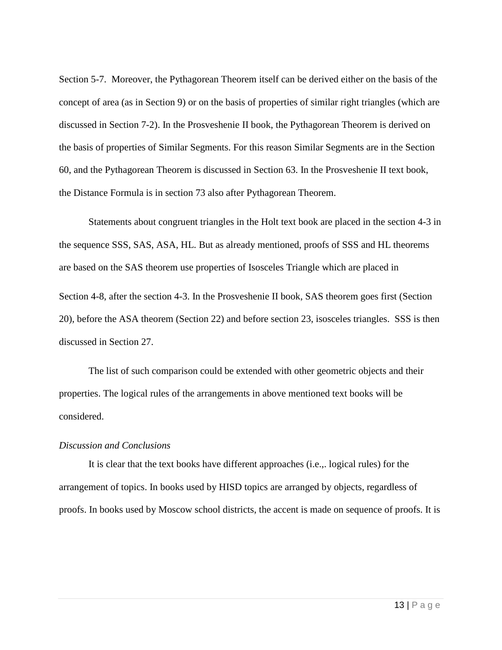Section 5-7. Moreover, the Pythagorean Theorem itself can be derived either on the basis of the concept of area (as in Section 9) or on the basis of properties of similar right triangles (which are discussed in Section 7-2). In the Prosveshenie II book, the Pythagorean Theorem is derived on the basis of properties of Similar Segments. For this reason Similar Segments are in the Section 60, and the Pythagorean Theorem is discussed in Section 63. In the Prosveshenie II text book, the Distance Formula is in section 73 also after Pythagorean Theorem.

Statements about congruent triangles in the Holt text book are placed in the section 4-3 in the sequence SSS, SAS, ASA, HL. But as already mentioned, proofs of SSS and HL theorems are based on the SAS theorem use properties of Isosceles Triangle which are placed in Section 4-8, after the section 4-3. In the Prosveshenie II book, SAS theorem goes first (Section 20), before the ASA theorem (Section 22) and before section 23, isosceles triangles. SSS is then discussed in Section 27.

The list of such comparison could be extended with other geometric objects and their properties. The logical rules of the arrangements in above mentioned text books will be considered.

#### *Discussion and Conclusions*

It is clear that the text books have different approaches (i.e.,. logical rules) for the arrangement of topics. In books used by HISD topics are arranged by objects, regardless of proofs. In books used by Moscow school districts, the accent is made on sequence of proofs. It is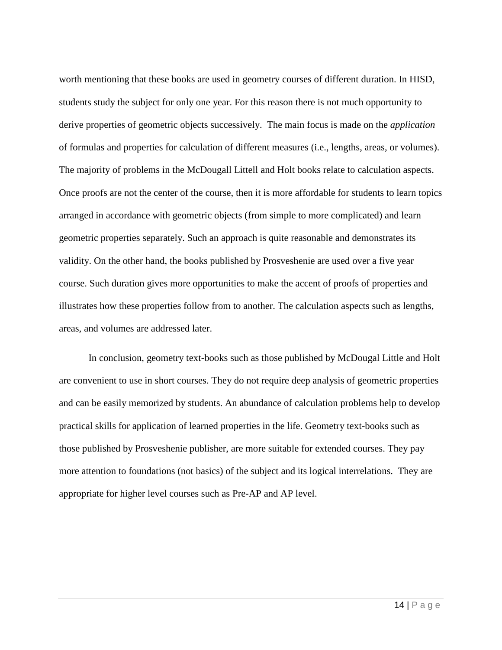worth mentioning that these books are used in geometry courses of different duration. In HISD, students study the subject for only one year. For this reason there is not much opportunity to derive properties of geometric objects successively. The main focus is made on the *application* of formulas and properties for calculation of different measures (i.e., lengths, areas, or volumes). The majority of problems in the McDougall Littell and Holt books relate to calculation aspects. Once proofs are not the center of the course, then it is more affordable for students to learn topics arranged in accordance with geometric objects (from simple to more complicated) and learn geometric properties separately. Such an approach is quite reasonable and demonstrates its validity. On the other hand, the books published by Prosveshenie are used over a five year course. Such duration gives more opportunities to make the accent of proofs of properties and illustrates how these properties follow from to another. The calculation aspects such as lengths, areas, and volumes are addressed later.

In conclusion, geometry text-books such as those published by McDougal Little and Holt are convenient to use in short courses. They do not require deep analysis of geometric properties and can be easily memorized by students. An abundance of calculation problems help to develop practical skills for application of learned properties in the life. Geometry text-books such as those published by Prosveshenie publisher, are more suitable for extended courses. They pay more attention to foundations (not basics) of the subject and its logical interrelations. They are appropriate for higher level courses such as Pre-AP and AP level.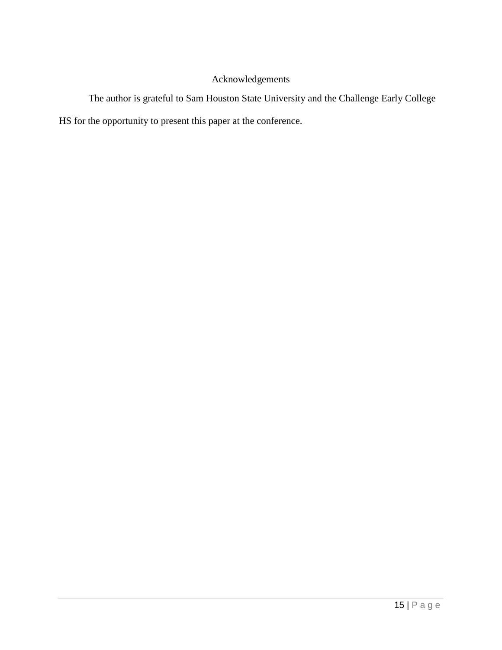# Acknowledgements

The author is grateful to Sam Houston State University and the Challenge Early College HS for the opportunity to present this paper at the conference.